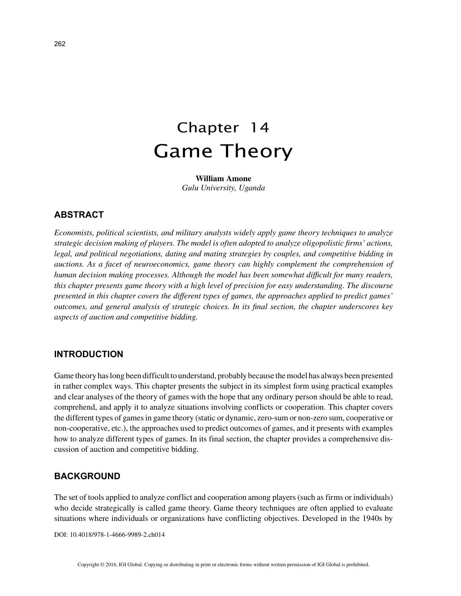# Chapter 14 Game Theory

**William Amone** *Gulu University, Uganda*

# **ABSTRACT**

*Economists, political scientists, and military analysts widely apply game theory techniques to analyze strategic decision making of players. The model is often adopted to analyze oligopolistic firms' actions, legal, and political negotiations, dating and mating strategies by couples, and competitive bidding in auctions. As a facet of neuroeconomics, game theory can highly complement the comprehension of human decision making processes. Although the model has been somewhat difficult for many readers, this chapter presents game theory with a high level of precision for easy understanding. The discourse presented in this chapter covers the different types of games, the approaches applied to predict games' outcomes, and general analysis of strategic choices. In its final section, the chapter underscores key aspects of auction and competitive bidding.*

### **INTRODUCTION**

Game theory has long been difficult to understand, probably because the model has always been presented in rather complex ways. This chapter presents the subject in its simplest form using practical examples and clear analyses of the theory of games with the hope that any ordinary person should be able to read, comprehend, and apply it to analyze situations involving conflicts or cooperation. This chapter covers the different types of games in game theory (static or dynamic, zero-sum or non-zero sum, cooperative or non-cooperative, etc.), the approaches used to predict outcomes of games, and it presents with examples how to analyze different types of games. In its final section, the chapter provides a comprehensive discussion of auction and competitive bidding.

## **BACKGROUND**

The set of tools applied to analyze conflict and cooperation among players (such as firms or individuals) who decide strategically is called game theory. Game theory techniques are often applied to evaluate situations where individuals or organizations have conflicting objectives. Developed in the 1940s by

DOI: 10.4018/978-1-4666-9989-2.ch014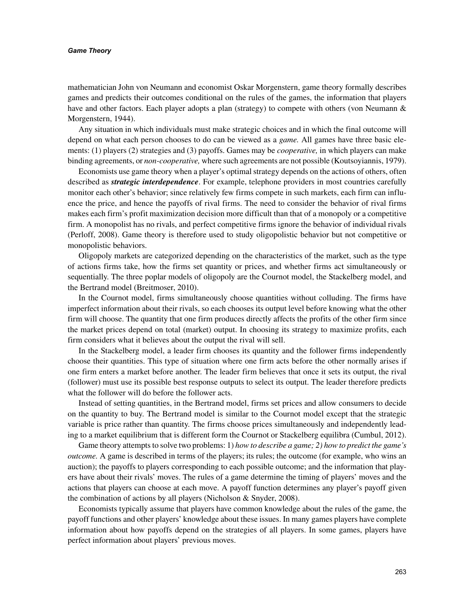#### *Game Theory*

mathematician John von Neumann and economist Oskar Morgenstern, game theory formally describes games and predicts their outcomes conditional on the rules of the games, the information that players have and other factors. Each player adopts a plan (strategy) to compete with others (von Neumann & Morgenstern, 1944).

Any situation in which individuals must make strategic choices and in which the final outcome will depend on what each person chooses to do can be viewed as a *game.* All games have three basic elements: (1) players (2) strategies and (3) payoffs. Games may be *cooperative,* in which players can make binding agreements, or *non-cooperative,* where such agreements are not possible (Koutsoyiannis, 1979).

Economists use game theory when a player's optimal strategy depends on the actions of others, often described as *strategic interdependence*. For example, telephone providers in most countries carefully monitor each other's behavior; since relatively few firms compete in such markets, each firm can influence the price, and hence the payoffs of rival firms. The need to consider the behavior of rival firms makes each firm's profit maximization decision more difficult than that of a monopoly or a competitive firm. A monopolist has no rivals, and perfect competitive firms ignore the behavior of individual rivals (Perloff, 2008). Game theory is therefore used to study oligopolistic behavior but not competitive or monopolistic behaviors.

Oligopoly markets are categorized depending on the characteristics of the market, such as the type of actions firms take, how the firms set quantity or prices, and whether firms act simultaneously or sequentially. The three poplar models of oligopoly are the Cournot model, the Stackelberg model, and the Bertrand model (Breitmoser, 2010).

In the Cournot model, firms simultaneously choose quantities without colluding. The firms have imperfect information about their rivals, so each chooses its output level before knowing what the other firm will choose. The quantity that one firm produces directly affects the profits of the other firm since the market prices depend on total (market) output. In choosing its strategy to maximize profits, each firm considers what it believes about the output the rival will sell.

In the Stackelberg model, a leader firm chooses its quantity and the follower firms independently choose their quantities. This type of situation where one firm acts before the other normally arises if one firm enters a market before another. The leader firm believes that once it sets its output, the rival (follower) must use its possible best response outputs to select its output. The leader therefore predicts what the follower will do before the follower acts.

Instead of setting quantities, in the Bertrand model, firms set prices and allow consumers to decide on the quantity to buy. The Bertrand model is similar to the Cournot model except that the strategic variable is price rather than quantity. The firms choose prices simultaneously and independently leading to a market equilibrium that is different form the Cournot or Stackelberg equilibra (Cumbul, 2012).

Game theory attempts to solve two problems: 1) *how to describe a game; 2) how to predict the game's outcome.* A game is described in terms of the players; its rules; the outcome (for example, who wins an auction); the payoffs to players corresponding to each possible outcome; and the information that players have about their rivals' moves. The rules of a game determine the timing of players' moves and the actions that players can choose at each move. A payoff function determines any player's payoff given the combination of actions by all players (Nicholson & Snyder, 2008).

Economists typically assume that players have common knowledge about the rules of the game, the payoff functions and other players' knowledge about these issues. In many games players have complete information about how payoffs depend on the strategies of all players. In some games, players have perfect information about players' previous moves.